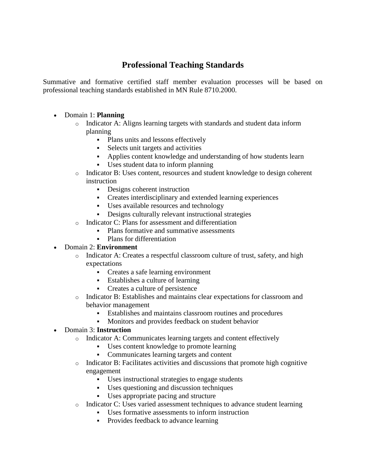## **Professional Teaching Standards**

Summative and formative certified staff member evaluation processes will be based on professional teaching standards established in MN Rule 8710.2000.

## Domain 1: **Planning**

- $\circ$  Indicator A: Aligns learning targets with standards and student data inform planning
	- Plans units and lessons effectively
	- Selects unit targets and activities
	- Applies content knowledge and understanding of how students learn
	- Uses student data to inform planning
- o Indicator B: Uses content, resources and student knowledge to design coherent instruction
	- Designs coherent instruction
	- Creates interdisciplinary and extended learning experiences
	- Uses available resources and technology
	- Designs culturally relevant instructional strategies
- o Indicator C: Plans for assessment and differentiation
	- Plans formative and summative assessments
	- Plans for differentiation
- Domain 2: **Environment**
	- o Indicator A: Creates a respectful classroom culture of trust, safety, and high expectations
		- Creates a safe learning environment
		- Establishes a culture of learning
		- Creates a culture of persistence
	- o Indicator B: Establishes and maintains clear expectations for classroom and behavior management
		- Establishes and maintains classroom routines and procedures
		- Monitors and provides feedback on student behavior

## Domain 3: **Instruction**

- o Indicator A: Communicates learning targets and content effectively
	- Uses content knowledge to promote learning
	- Communicates learning targets and content
- $\circ$  Indicator B: Facilitates activities and discussions that promote high cognitive engagement
	- Uses instructional strategies to engage students
	- Uses questioning and discussion techniques
	- Uses appropriate pacing and structure
- $\circ$  Indicator C: Uses varied assessment techniques to advance student learning
	- Uses formative assessments to inform instruction
		- Provides feedback to advance learning